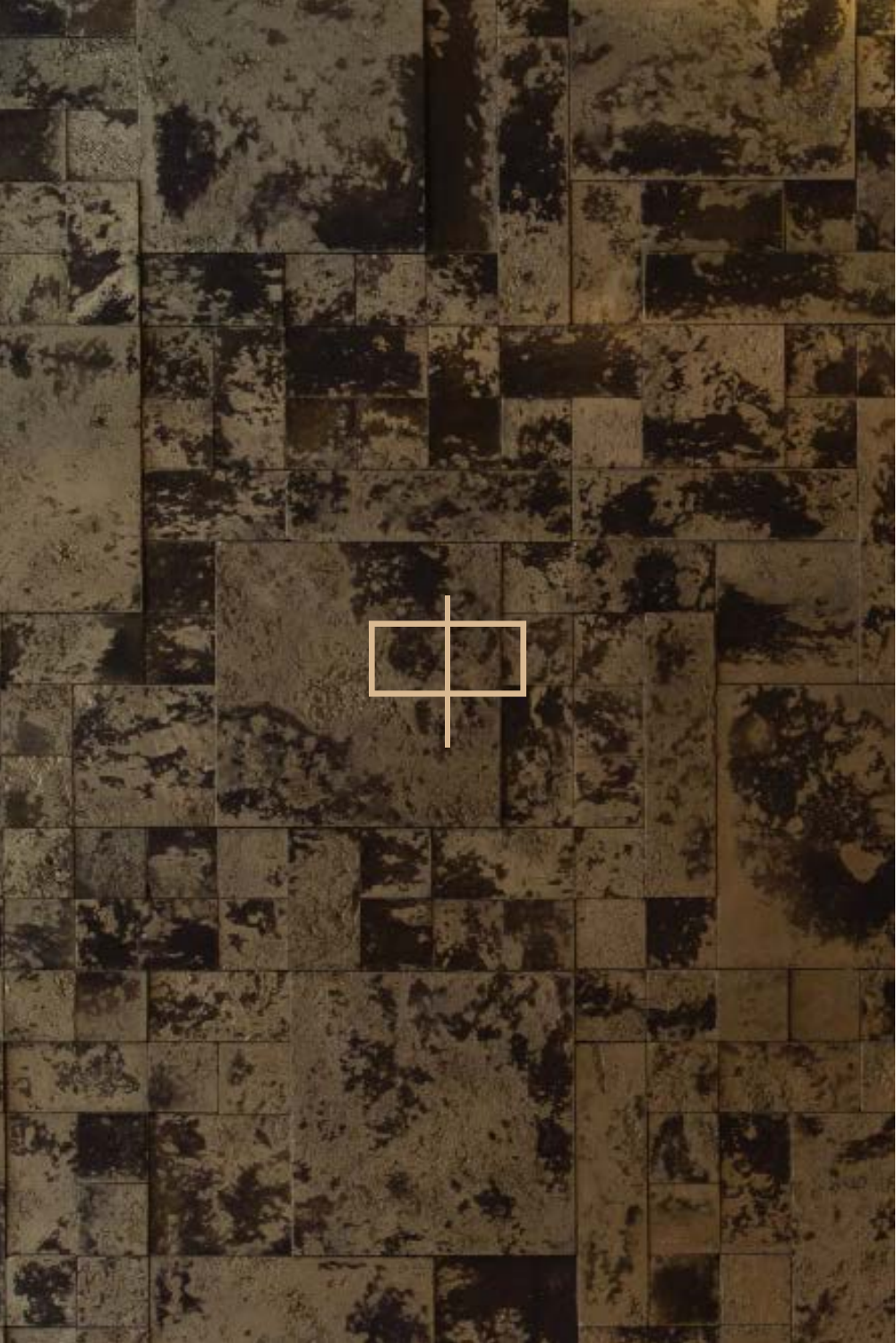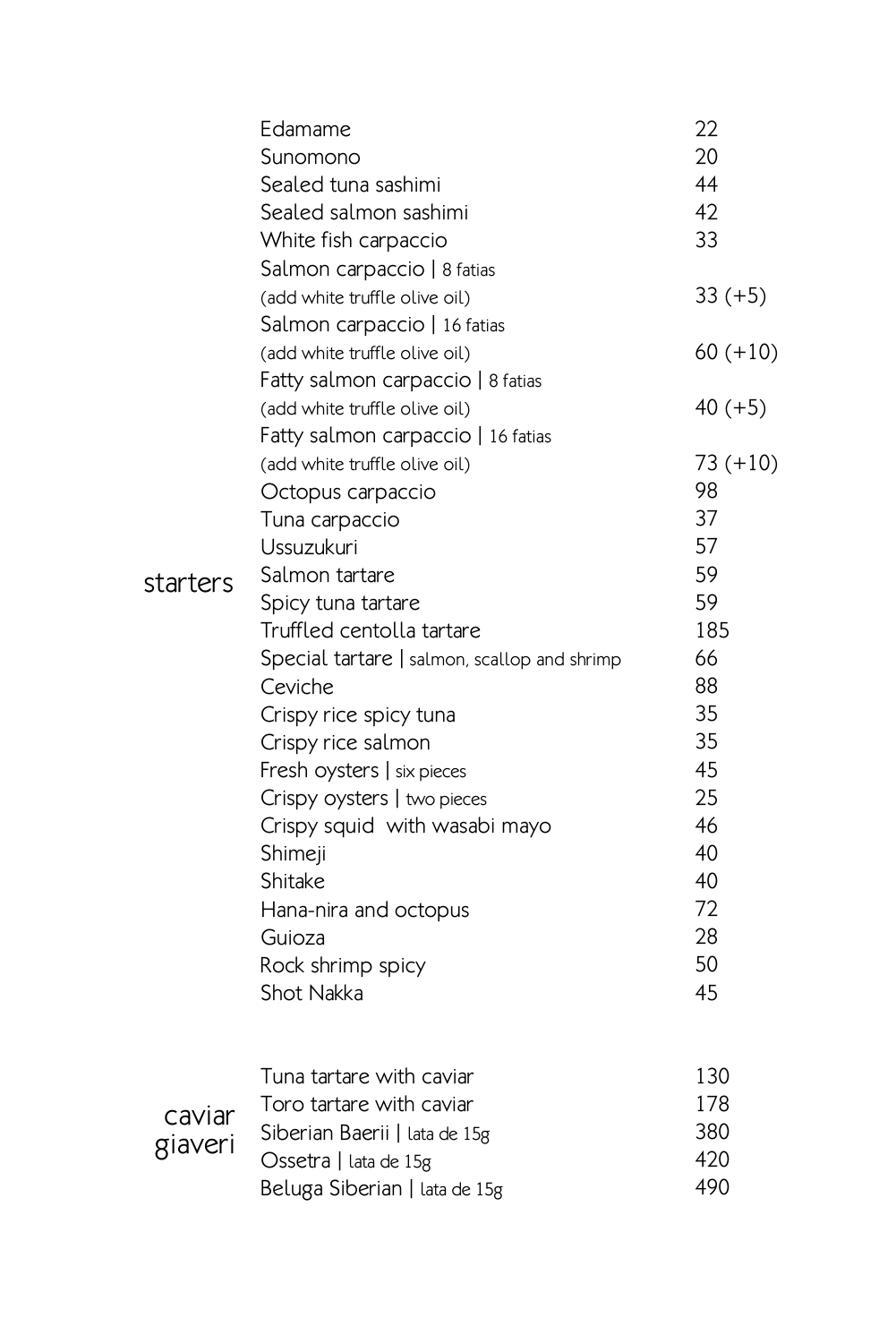|          | Edamame                                      | 22         |
|----------|----------------------------------------------|------------|
|          | Sunomono                                     | 20         |
|          | Sealed tuna sashimi                          | 44         |
|          | Sealed salmon sashimi                        | 42         |
|          | White fish carpaccio                         | 33         |
|          | Salmon carpaccio   8 fatias                  |            |
|          | (add white truffle olive oil)                | $33 (+5)$  |
|          | Salmon carpaccio   16 fatias                 |            |
|          | (add white truffle olive oil)                | $60 (+10)$ |
|          | Fatty salmon carpaccio   8 fatias            |            |
|          | (add white truffle olive oil)                | $40 (+5)$  |
|          | Fatty salmon carpaccio   16 fatias           |            |
|          | (add white truffle olive oil)                | 73 (+10)   |
|          | Octopus carpaccio                            | 98         |
|          | Tuna carpaccio                               | 37         |
|          | Ussuzukuri                                   | 57         |
| starters | Salmon tartare                               | 59         |
|          | Spicy tuna tartare                           | 59         |
|          | Truffled centolla tartare                    | 185        |
|          | Special tartare   salmon, scallop and shrimp | 66         |
|          | Ceviche                                      | 88         |
|          | Crispy rice spicy tuna                       | 35         |
|          | Crispy rice salmon                           | 35         |
|          | Fresh oysters   six pieces                   | 45         |
|          | Crispy oysters   two pieces                  | 25         |
|          | Crispy squid with wasabi mayo                | 46         |
|          | Shimeji                                      | 40         |
|          | Shitake                                      | 40         |
|          | Hana-nira and octopus                        | 72         |
|          | Guioza                                       | 28         |
|          | Rock shrimp spicy                            | 50         |
|          | Shot Nakka                                   | 45         |
|          |                                              |            |
|          | Tuna tartare with caviar                     | 130<br>178 |
| caviar   | Toro tartare with caviar                     |            |
| giaveri  | Siberian Baerii   lata de 15g                | 380        |
|          | $O$ ssetra   lata de 15g                     | 420        |
|          | Beluga Siberian   lata de 15g                | 490        |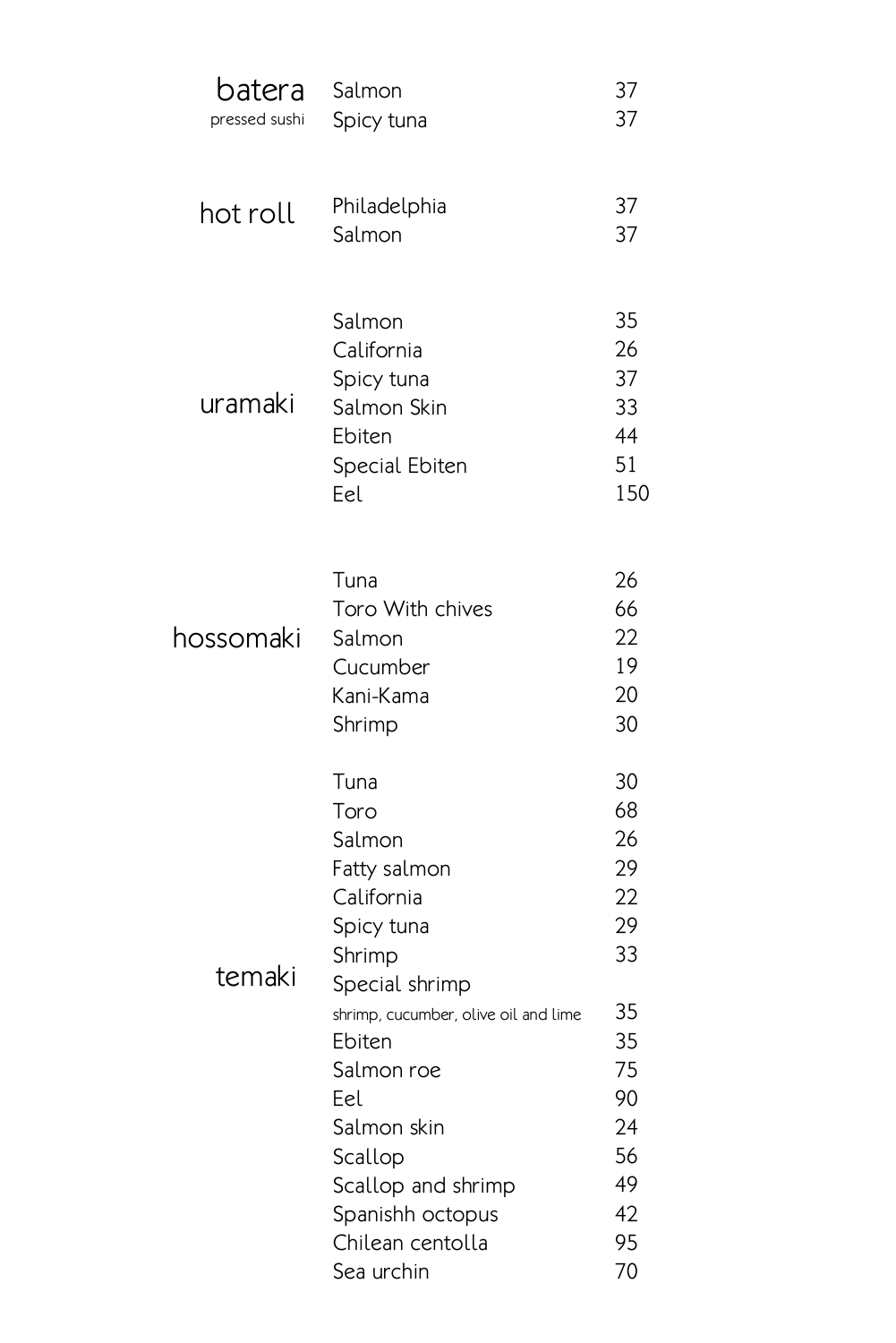| batera        | Salmon                                         | 37        |
|---------------|------------------------------------------------|-----------|
| pressed sushi | Spicy tuna                                     | 37        |
|               |                                                |           |
| hot roll      | Philadelphia<br>Salmon                         | 37<br>37  |
|               |                                                |           |
|               | Salmon                                         | 35        |
|               | California                                     | 26        |
|               | Spicy tuna                                     | 37        |
| uramaki       | Salmon Skin                                    | 33        |
|               | Ebiten                                         | 44        |
|               | Special Ebiten<br>Eel                          | 51<br>150 |
|               |                                                |           |
|               | Tuna                                           | 26        |
|               | Toro With chives                               | 66        |
| hossomaki     | Salmon                                         | 22        |
|               | Cucumber                                       | 19        |
|               | Kani-Kama                                      | 20        |
|               | Shrimp                                         | 30        |
|               | Tuna                                           | 30        |
|               | Toro                                           | 68        |
|               | Salmon                                         | 26        |
|               | Fatty salmon                                   | 29        |
|               | California                                     | 22        |
|               | Spicy tuna                                     | 29        |
| temaki        | Shrimp                                         | 33        |
|               | Special shrimp                                 | 35        |
|               | shrimp, cucumber, olive oil and lime<br>Ebiten | 35        |
|               | Salmon roe                                     | 75        |
|               | Eel                                            | 90        |
|               | Salmon skin                                    | 24        |
|               | Scallop                                        | 56        |
|               | Scallop and shrimp                             | 49        |
|               | Spanishh octopus                               | 42        |
|               | Chilean centolla                               | 95        |
|               | Sea urchin                                     | 70        |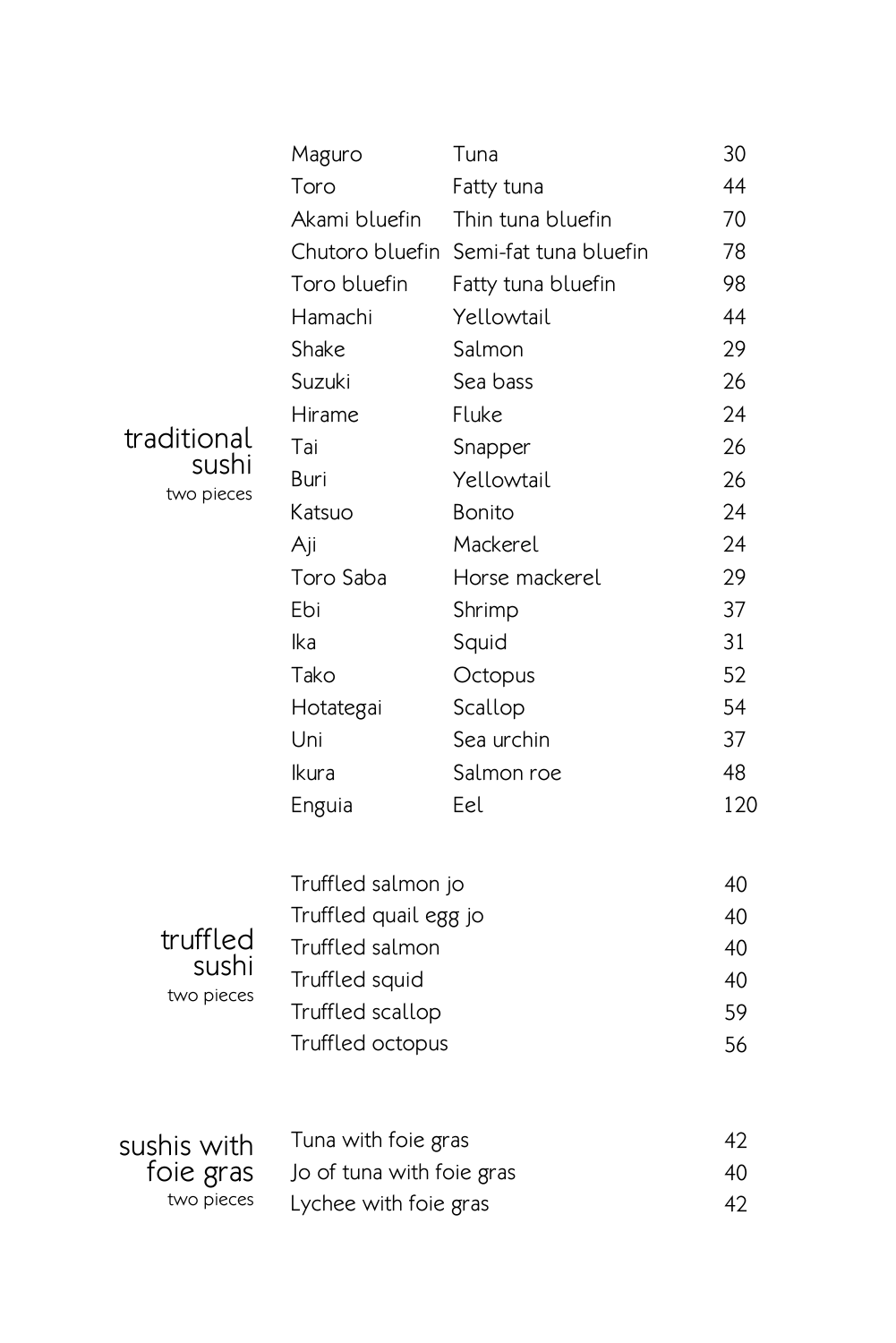|                         | Maguro                    | Tuna                                  | 30       |     |
|-------------------------|---------------------------|---------------------------------------|----------|-----|
|                         | Toro                      | Fatty tuna                            | 44       |     |
|                         | Akami bluefin             | Thin tuna bluefin                     | 70       |     |
|                         |                           | Chutoro bluefin Semi-fat tuna bluefin | 78       |     |
|                         | Toro bluefin              | Fatty tuna bluefin                    | 98       |     |
|                         | Hamachi                   | Yellowtail                            | 44       |     |
|                         | Shake                     | Salmon                                | 29       |     |
|                         | Suzuki                    | Sea bass                              | 26       |     |
|                         | Hirame                    | Fluke                                 | 24       |     |
| traditional             | Tai                       | Snapper                               | 26       |     |
| sushi<br>two pieces     | Buri                      | Yellowtail                            | 26       |     |
|                         | Katsuo                    | <b>Bonito</b>                         | 24       |     |
|                         | Aji                       | Mackerel                              | 24       |     |
|                         | Toro Saba                 | Horse mackerel                        | 29       |     |
|                         | Ebi                       | Shrimp                                | 37       |     |
|                         | <b>Ika</b>                | Squid                                 | 31       |     |
|                         | Tako                      | Octopus                               | 52       |     |
|                         | Hotategai                 | Scallop                               | 54       |     |
|                         | Uni                       | Sea urchin                            | 37       |     |
|                         | Ikura                     | Salmon roe                            | 48       |     |
|                         | Enguia                    | Eel                                   |          | 120 |
|                         | Truffled salmon jo        |                                       | 40       |     |
|                         | Truffled quail egg jo     |                                       | 40       |     |
| truffled                | Truffled salmon           |                                       | 40       |     |
| sushi                   | Truffled squid            |                                       | 40       |     |
| two pieces              | Truffled scallop          |                                       | 59       |     |
|                         | Truffled octopus          |                                       | 56       |     |
|                         |                           |                                       |          |     |
| sushis with             | Tuna with foie gras       |                                       | 42<br>40 |     |
| foie gras<br>two pieces | Jo of tuna with foie gras |                                       | 42       |     |
|                         | Lychee with foie gras     |                                       |          |     |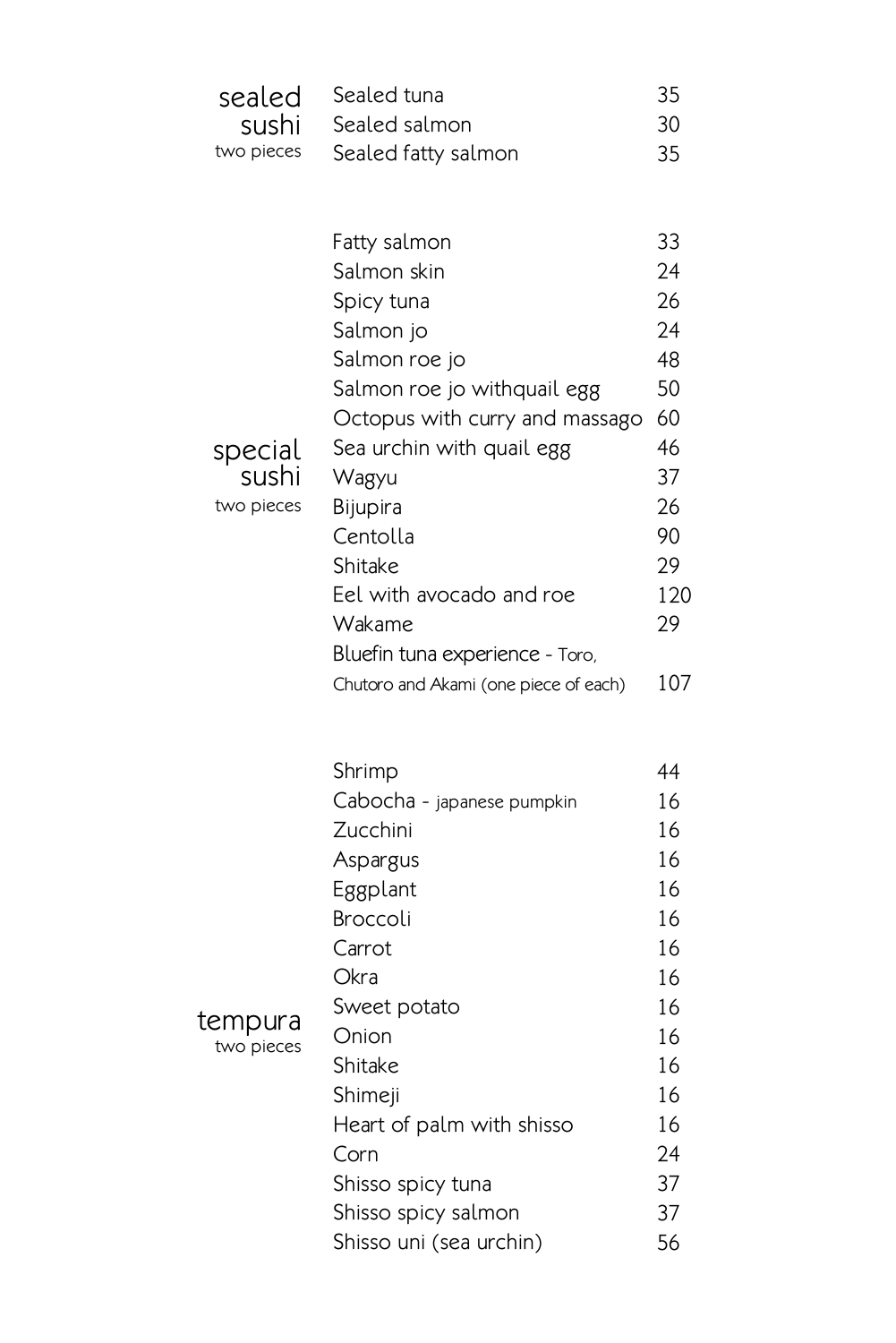|            | sealed Sealed tuna  | 35   |
|------------|---------------------|------|
|            | sushi Sealed salmon | - 30 |
| two pieces | Sealed fatty salmon | 35   |

|            | Fatty salmon                          | 33  |
|------------|---------------------------------------|-----|
|            | Salmon skin                           | 24  |
|            | Spicy tuna                            | 26  |
|            | Salmon jo                             | 24  |
|            | Salmon roe jo                         | 48  |
|            | Salmon roe jo withquail egg           | 50  |
|            | Octopus with curry and massago        | 60  |
| special    | Sea urchin with quail egg             | 46  |
| sushi      | Wagyu                                 | 37  |
| two pieces | Bijupira                              | 26  |
|            | Centolla                              | 90  |
|            | Shitake                               | 29  |
|            | Eel with avocado and roe              | 120 |
|            | Wakame                                | 29  |
|            | Bluefin tuna experience - Toro,       |     |
|            | Chutoro and Akami (one piece of each) | 107 |

| Shrimp                     | 44 |
|----------------------------|----|
| Cabocha - japanese pumpkin | 16 |
| Zucchini                   | 16 |
| Aspargus                   | 16 |
| Eggplant                   | 16 |
| Broccoli                   | 16 |
| Carrot                     | 16 |
| Okra                       | 16 |
| Sweet potato               | 16 |
| Onion                      | 16 |
| Shitake                    | 16 |
| Shimeji                    | 16 |
| Heart of palm with shisso  | 16 |
| Corn                       | 24 |
| Shisso spicy tuna          | 37 |
| Shisso spicy salmon        | 37 |
| Shisso uni (sea urchin)    | 56 |

tempura two pieces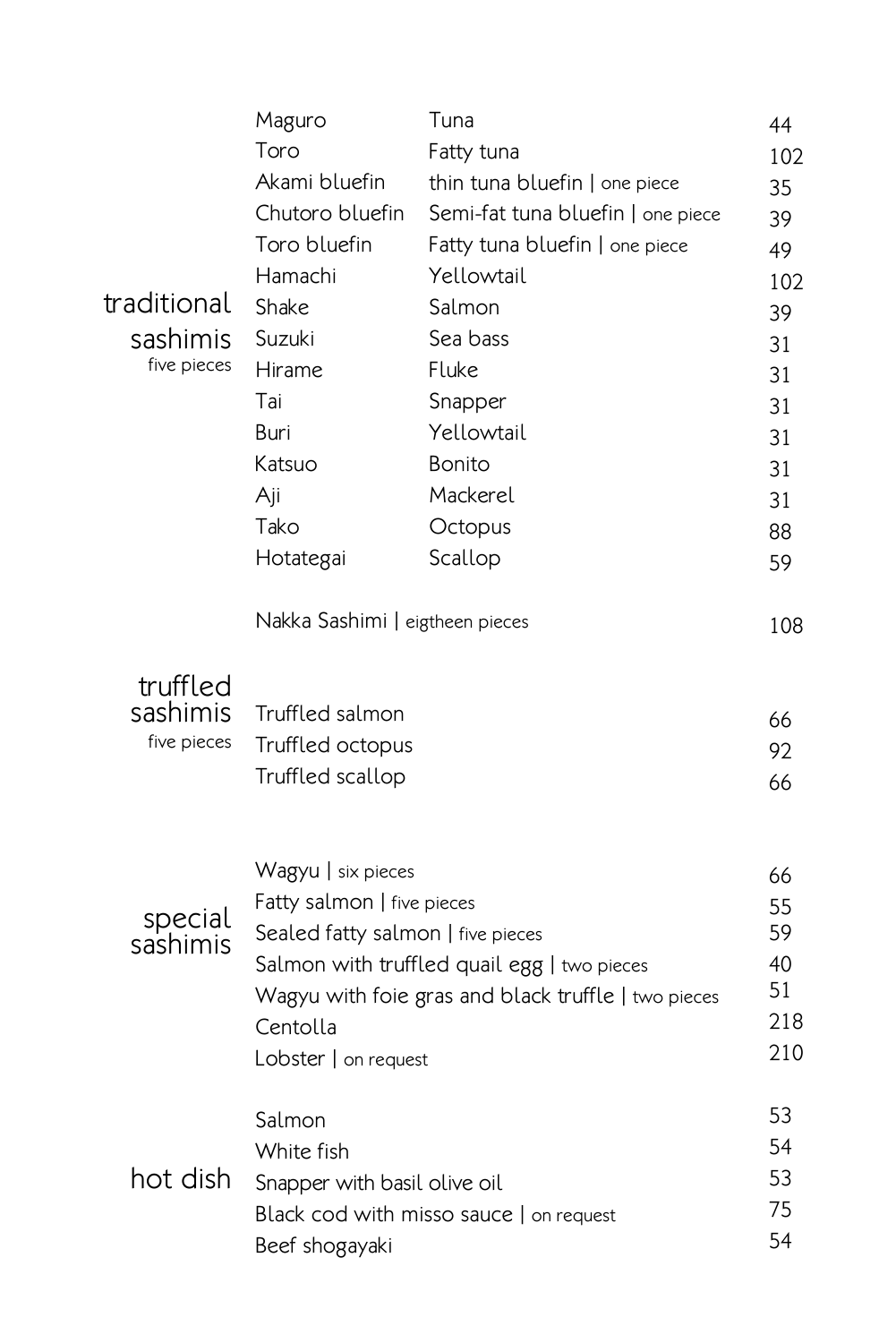|             | Maguro                                           | Tuna                                                | 44       |
|-------------|--------------------------------------------------|-----------------------------------------------------|----------|
|             | Toro                                             | Fatty tuna                                          | 102      |
|             | Akami bluefin                                    | thin tuna bluefin   one piece                       | 35       |
|             | Chutoro bluefin                                  | Semi-fat tuna bluefin   one piece                   | 39       |
|             | Toro bluefin                                     | Fatty tuna bluefin   one piece                      | 49       |
|             | Hamachi                                          | Yellowtail                                          | 102      |
| traditional | Shake                                            | Salmon                                              | 39       |
| sashimis    | Suzuki                                           | Sea bass                                            | 31       |
| five pieces | Hirame                                           | Fluke                                               | 31       |
|             | Tai                                              | Snapper                                             | 31       |
|             | Buri                                             | Yellowtail                                          | 31       |
|             | Katsuo                                           | <b>Bonito</b>                                       | 31       |
|             | Aji                                              | Mackerel                                            | 31       |
|             | Tako                                             | Octopus                                             | 88       |
|             | Hotategai                                        | Scallop                                             | 59       |
|             |                                                  |                                                     |          |
|             | Nakka Sashimi   eigtheen pieces                  |                                                     | 108      |
|             |                                                  |                                                     |          |
| truffled    |                                                  |                                                     |          |
| sashimis    | Truffled salmon                                  |                                                     | 66       |
| five pieces | Truffled octopus                                 |                                                     | 92       |
|             | Truffled scallop                                 |                                                     | 66       |
|             |                                                  |                                                     |          |
|             |                                                  |                                                     |          |
|             | Wagyu   six pieces<br>Fatty salmon   five pieces |                                                     | 66       |
| special     | Sealed fatty salmon   five pieces                |                                                     | 55<br>59 |
| sashimis    |                                                  | Salmon with truffled quail egg   two pieces         | 40       |
|             |                                                  | Wagyu with foie gras and black truffle   two pieces | 51       |
|             | Centolla                                         |                                                     | 218      |
|             | Lobster   on request                             |                                                     | 210      |
|             |                                                  |                                                     |          |
|             | Salmon                                           |                                                     | 53       |
|             | White fish                                       |                                                     | 54       |
| hot dish    | Snapper with basil olive oil                     |                                                     | 53       |
|             |                                                  | Black cod with misso sauce   on request             | 75       |
|             | Beef shogayaki                                   |                                                     | 54       |
|             |                                                  |                                                     |          |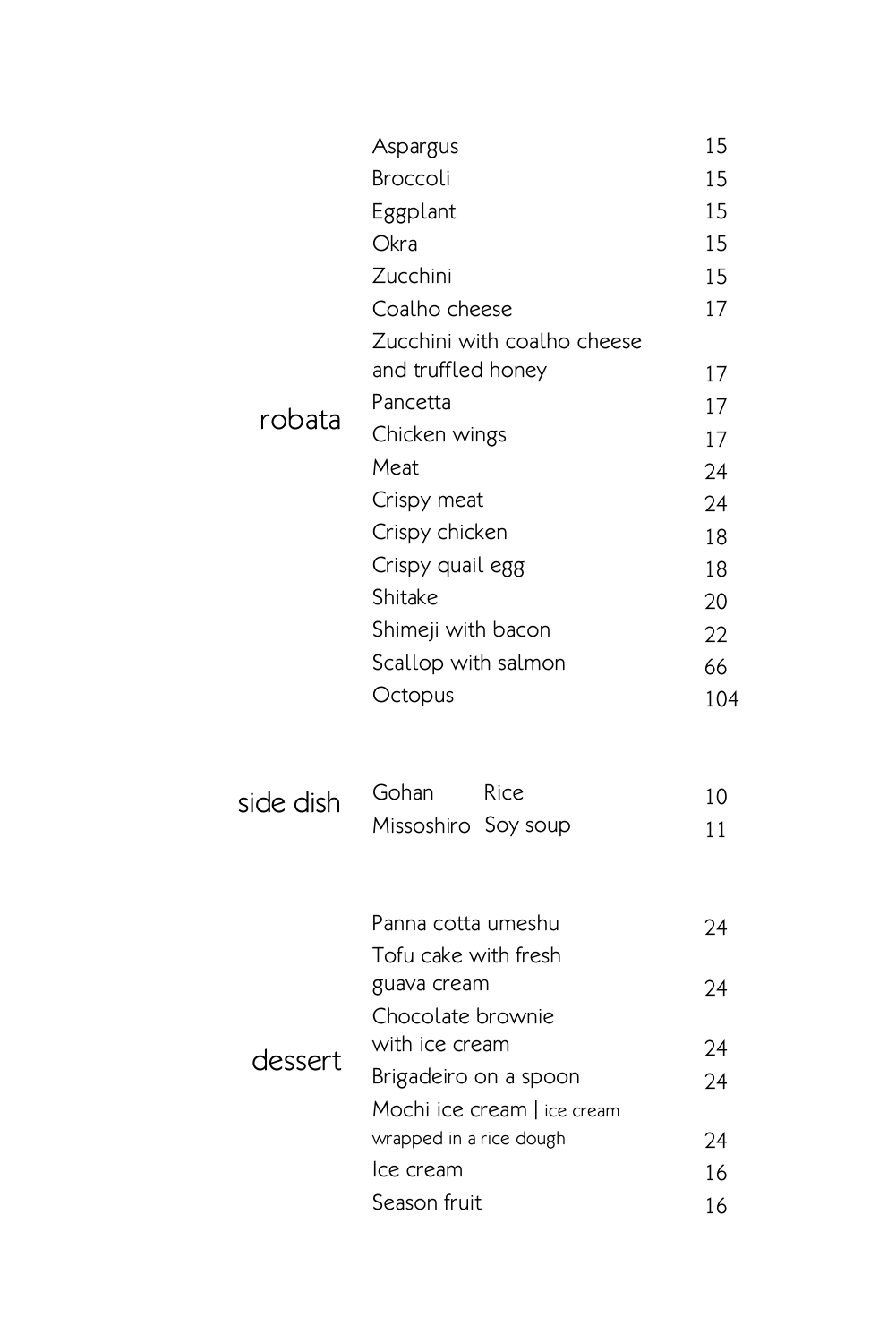|           | Aspargus                            | 15       |
|-----------|-------------------------------------|----------|
|           | <b>Broccoli</b>                     | 15       |
|           | Eggplant                            | 15       |
|           | Okra                                | 15       |
|           | Zucchini                            | 15       |
|           | Coalho cheese                       | 17       |
|           | Zucchini with coalho cheese         |          |
|           | and truffled honey                  | 17       |
| robata    | Pancetta                            | 17       |
|           | Chicken wings                       | 17       |
|           | Meat                                | 24       |
|           | Crispy meat                         | 24       |
|           | Crispy chicken                      | 18       |
|           | Crispy quail egg                    | 18       |
|           | Shitake                             | 20       |
|           | Shimeji with bacon                  | 22       |
|           | Scallop with salmon                 | 66       |
|           | Octopus                             | 104      |
|           |                                     |          |
| side dish | Gohan<br>Rice                       | 10       |
|           | Missoshiro Soy soup                 | 11       |
|           |                                     |          |
|           | Panna cotta umeshu                  | 24       |
|           | Tofu cake with fresh                |          |
|           | guava cream                         | 24       |
|           | Chocolate brownie<br>with ice cream |          |
| dessert   | Brigadeiro on a spoon               | 24<br>24 |
|           | Mochi ice cream   ice cream         |          |
|           | wrapped in a rice dough             | 24       |
|           | Ice cream                           | 16       |
|           | Season fruit                        | 16       |
|           |                                     |          |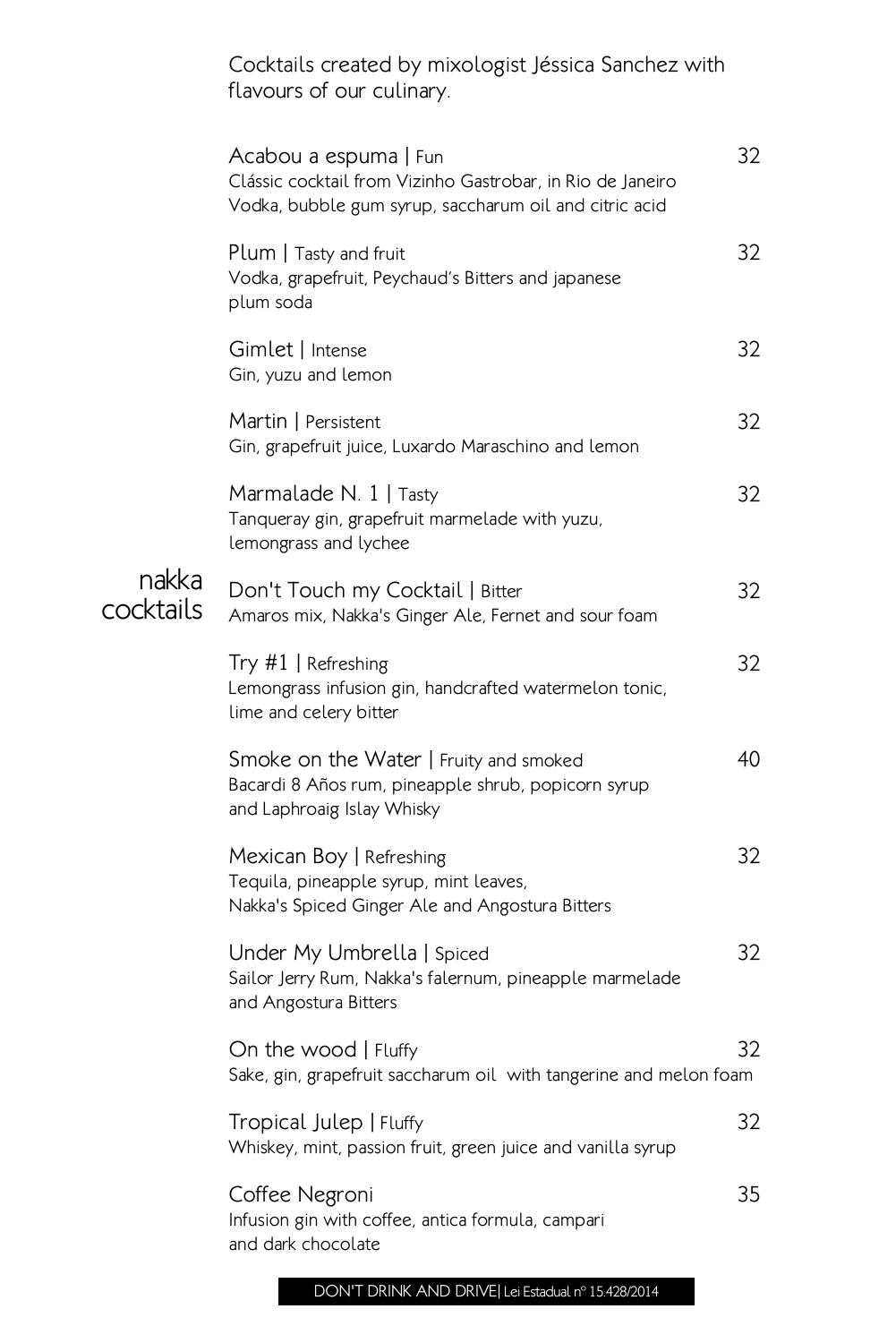Cocktails created by mixologist Jéssica Sanchez with flavours of our culinary.

|                    | Acabou a espuma   Fun<br>Clássic cocktail from Vizinho Gastrobar, in Rio de Janeiro<br>Vodka, bubble gum syrup, saccharum oil and citric acid | 32 |
|--------------------|-----------------------------------------------------------------------------------------------------------------------------------------------|----|
|                    | Plum   Tasty and fruit<br>Vodka, grapefruit, Peychaud's Bitters and japanese<br>plum soda                                                     | 32 |
|                    | Gimlet   Intense<br>Gin, yuzu and lemon                                                                                                       | 32 |
|                    | Martin   Persistent<br>Gin, grapefruit juice, Luxardo Maraschino and lemon                                                                    | 32 |
|                    | Marmalade N. 1   Tasty<br>Tanqueray gin, grapefruit marmelade with yuzu,<br>lemongrass and lychee                                             | 32 |
| nakka<br>cocktails | Don't Touch my Cocktail   Bitter<br>Amaros mix, Nakka's Ginger Ale, Fernet and sour foam                                                      | 32 |
|                    | Try $#1$   Refreshing<br>Lemongrass infusion gin, handcrafted watermelon tonic,<br>lime and celery bitter                                     | 32 |
|                    | Smoke on the Water   Fruity and smoked<br>Bacardi 8 Años rum, pineapple shrub, popicorn syrup<br>and Laphroaig Islay Whisky                   | 40 |
|                    | Mexican Boy   Refreshing<br>Tequila, pineapple syrup, mint leaves,<br>Nakka's Spiced Ginger Ale and Angostura Bitters                         | 32 |
|                    | Under My Umbrella   Spiced<br>Sailor Jerry Rum, Nakka's falernum, pineapple marmelade<br>and Angostura Bitters                                | 32 |
|                    | On the wood   Fluffy<br>Sake, gin, grapefruit saccharum oil with tangerine and melon foam                                                     | 32 |
|                    | Tropical Julep   Fluffy<br>Whiskey, mint, passion fruit, green juice and vanilla syrup                                                        | 32 |
|                    | Coffee Negroni<br>Infusion gin with coffee, antica formula, campari<br>and dark chocolate                                                     | 35 |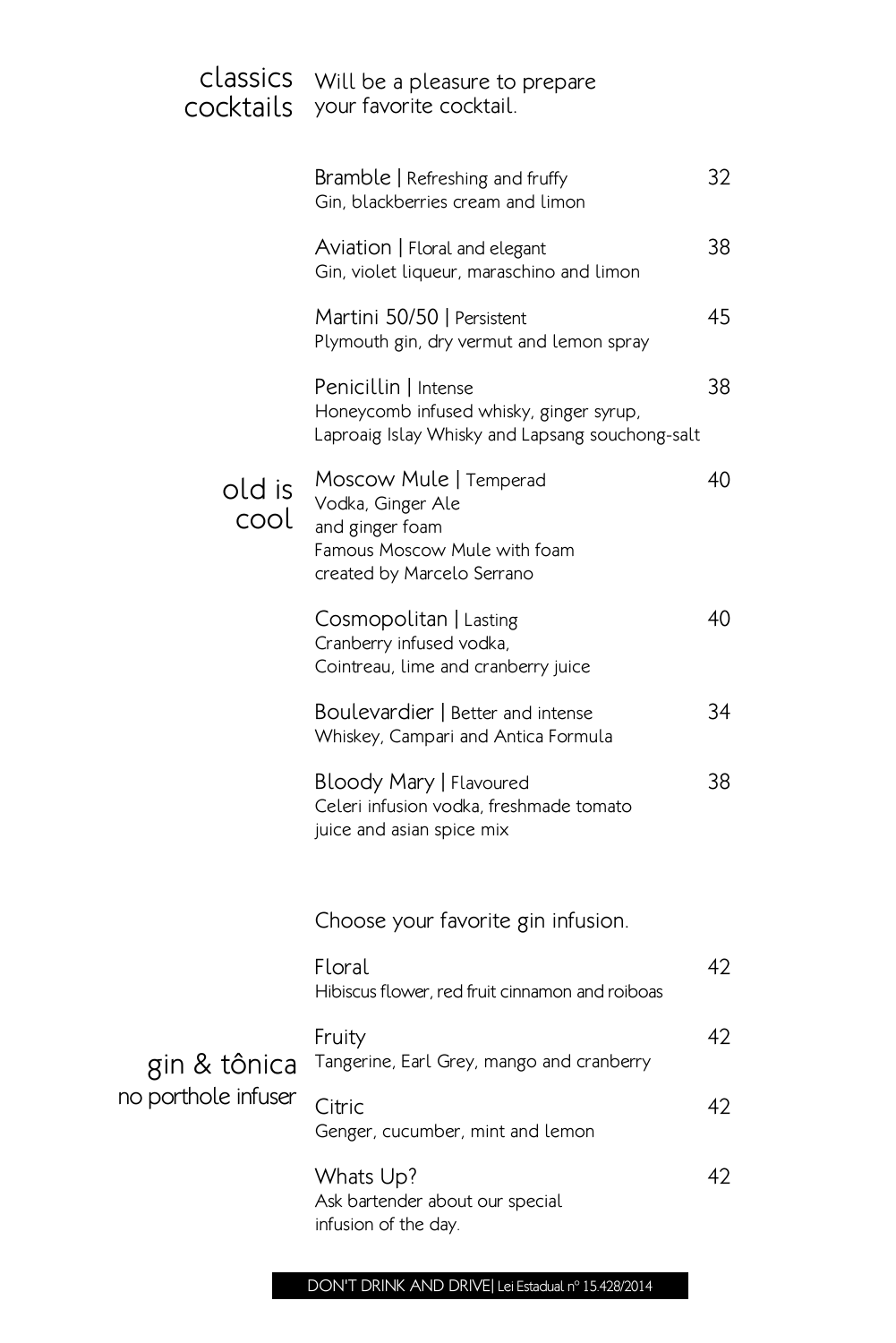|                     | classics Will be a pleasure to prepare<br>cocktails your favorite cocktail.                                                  |    |
|---------------------|------------------------------------------------------------------------------------------------------------------------------|----|
|                     | Bramble   Refreshing and fruffy<br>Gin, blackberries cream and limon                                                         | 32 |
|                     | Aviation   Floral and elegant<br>Gin, violet liqueur, maraschino and limon                                                   | 38 |
|                     | Martini 50/50   Persistent<br>Plymouth gin, dry vermut and lemon spray                                                       | 45 |
|                     | Penicillin   Intense<br>Honeycomb infused whisky, ginger syrup,<br>Laproaig Islay Whisky and Lapsang souchong-salt           | 38 |
| old is<br>cool      | Moscow Mule   Temperad<br>Vodka, Ginger Ale<br>and ginger foam<br>Famous Moscow Mule with foam<br>created by Marcelo Serrano | 40 |
|                     | Cosmopolitan   Lasting<br>Cranberry infused vodka,<br>Cointreau, lime and cranberry juice                                    | 40 |
|                     | Boulevardier   Better and intense<br>Whiskey, Campari and Antica Formula                                                     | 34 |
|                     | Bloody Mary   Flavoured<br>Celeri infusion vodka, freshmade tomato<br>juice and asian spice mix                              | 38 |
|                     | Choose your favorite gin infusion.                                                                                           |    |
|                     | Floral<br>Hibiscus flower, red fruit cinnamon and roiboas                                                                    | 42 |
| gin & tônica        | Fruity<br>Tangerine, Earl Grey, mango and cranberry                                                                          | 42 |
| no porthole infuser | Citric<br>Genger, cucumber, mint and lemon                                                                                   | 42 |
|                     | Whats Up?<br>Ask bartender about our special<br>infusion of the day.                                                         | 42 |

## DON'T DRINK AND DRIVE| Lei Estadual nº 15.428/2014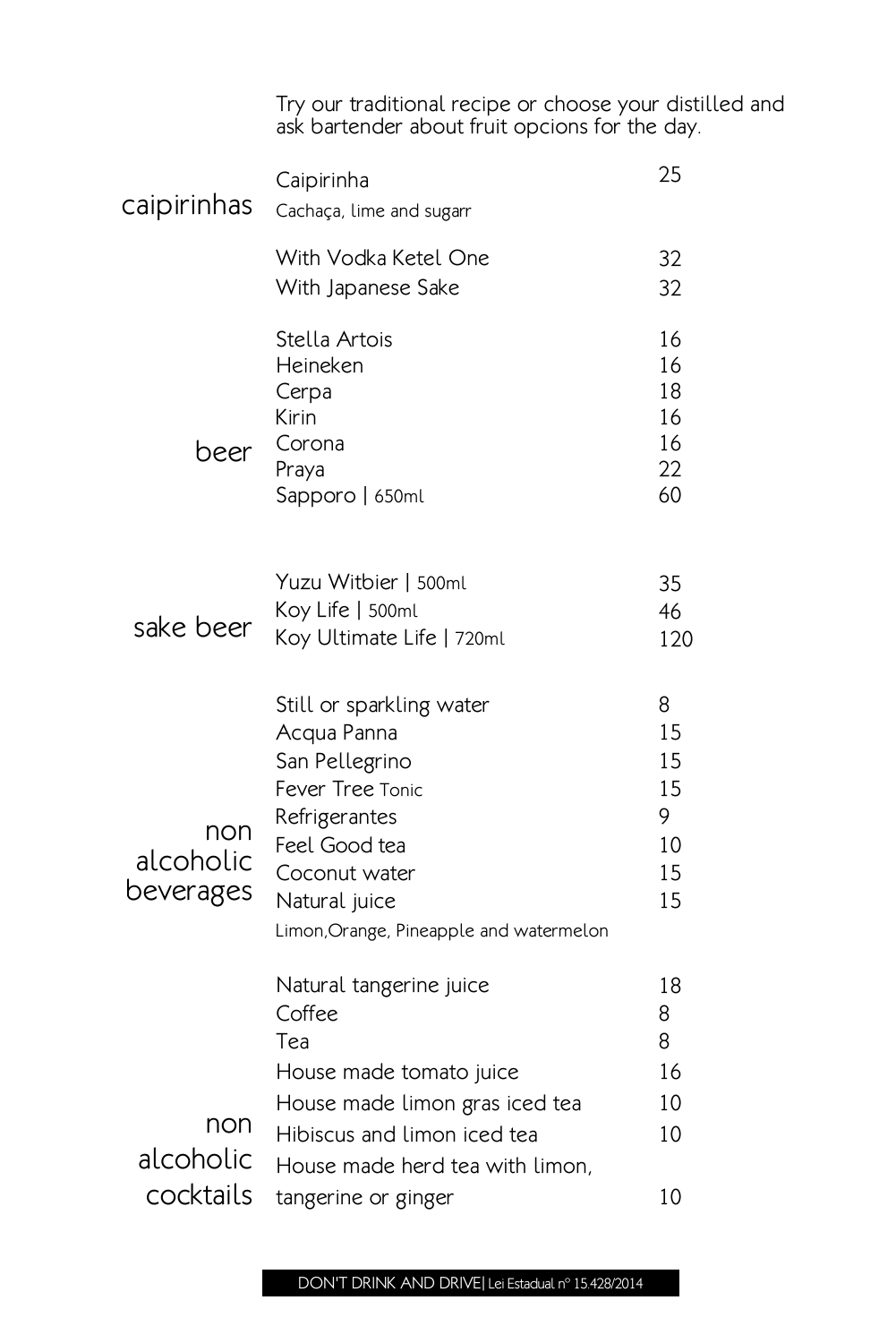Try our traditional recipe or choose your distilled and ask bartender about fruit opcions for the day.

| caipirinhas                   | Caipirinha<br>Cachaça, lime and sugarr                                                                                                                                                       | 25                                         |
|-------------------------------|----------------------------------------------------------------------------------------------------------------------------------------------------------------------------------------------|--------------------------------------------|
|                               | With Vodka Ketel One<br>With Japanese Sake                                                                                                                                                   | 32<br>32                                   |
| beer                          | Stella Artois<br>Heineken<br>Cerpa<br>Kirin<br>Corona<br>Praya<br>Sapporo   650ml                                                                                                            | 16<br>16<br>18<br>16<br>16<br>22<br>60     |
| sake beer                     | Yuzu Witbier   500ml<br>Koy Life   500ml<br>Koy Ultimate Life   720ml                                                                                                                        | 35<br>46<br>120                            |
| non<br>alcoholic<br>beverages | Still or sparkling water<br>Acqua Panna<br>San Pellegrino<br>Fever Tree Tonic<br>Refrigerantes<br>Feel Good tea<br>Coconut water<br>Natural juice<br>Limon, Orange, Pineapple and watermelon | 8<br>15<br>15<br>15<br>9<br>10<br>15<br>15 |
| non<br>alcoholic              | Natural tangerine juice<br>Coffee<br>Tea<br>House made tomato juice<br>House made limon gras iced tea<br>Hibiscus and limon iced tea<br>House made herd tea with limon,                      | 18<br>8<br>8<br>16<br>10<br>10             |
| cocktails                     | tangerine or ginger                                                                                                                                                                          | 10                                         |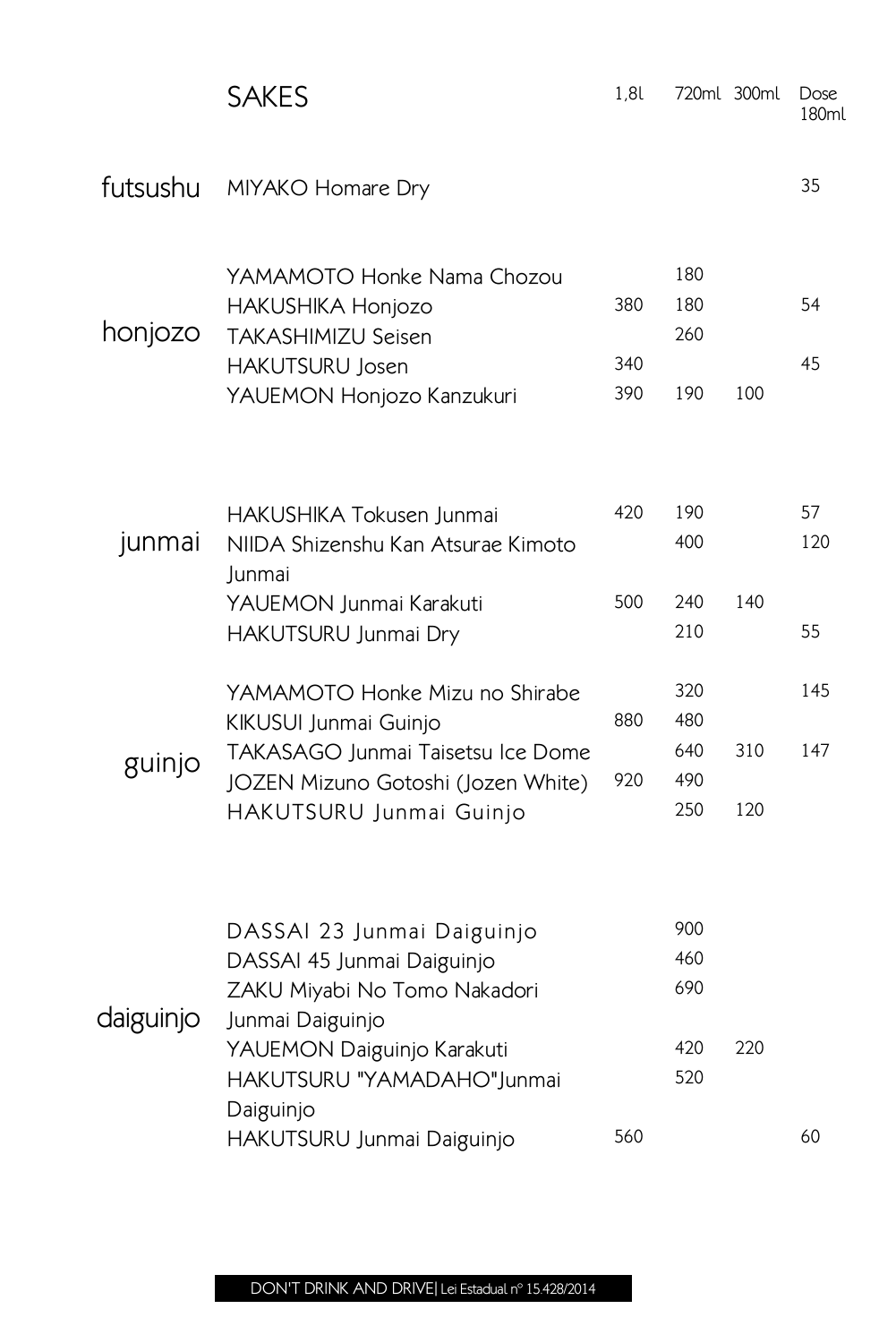|           | <b>SAKES</b>                                                                                                                                                                                                        | 1,8l              |                                 | 720ml 300ml | Dose<br>180ml   |
|-----------|---------------------------------------------------------------------------------------------------------------------------------------------------------------------------------------------------------------------|-------------------|---------------------------------|-------------|-----------------|
|           | futsushu MIYAKO Homare Dry                                                                                                                                                                                          |                   |                                 |             | 35              |
| honjozo   | YAMAMOTO Honke Nama Chozou<br>HAKUSHIKA Honjozo<br><b>TAKASHIMIZU Seisen</b><br><b>HAKUTSURU Josen</b><br>YAUEMON Honjozo Kanzukuri                                                                                 | 380<br>340<br>390 | 180<br>180<br>260<br>190        | 100         | 54<br>45        |
| junmai    | HAKUSHIKA Tokusen Junmai<br>NIIDA Shizenshu Kan Atsurae Kimoto<br>Junmai<br>YAUEMON Junmai Karakuti<br>HAKUTSURU Junmai Dry                                                                                         | 420<br>500        | 190<br>400<br>240<br>210        | 140         | 57<br>120<br>55 |
| guinjo    | YAMAMOTO Honke Mizu no Shirabe<br>KIKUSUI Junmai Guinjo<br>TAKASAGO Junmai Taisetsu Ice Dome<br>JOZEN Mizuno Gotoshi (Jozen White)<br>HAKUTSURU Junmai Guinjo                                                       | 880<br>920        | 320<br>480<br>640<br>490<br>250 | 310<br>120  | 145<br>147      |
| daiguinjo | DASSAI 23 Junmai Daiguinjo<br>DASSAI 45 Junmai Daiguinjo<br>ZAKU Miyabi No Tomo Nakadori<br>Junmai Daiguinjo<br>YAUEMON Daiguinjo Karakuti<br>HAKUTSURU "YAMADAHO"Junmai<br>Daiguinjo<br>HAKUTSURU Junmai Daiguinjo | 560               | 900<br>460<br>690<br>420<br>520 | 220         | 60              |
|           |                                                                                                                                                                                                                     |                   |                                 |             |                 |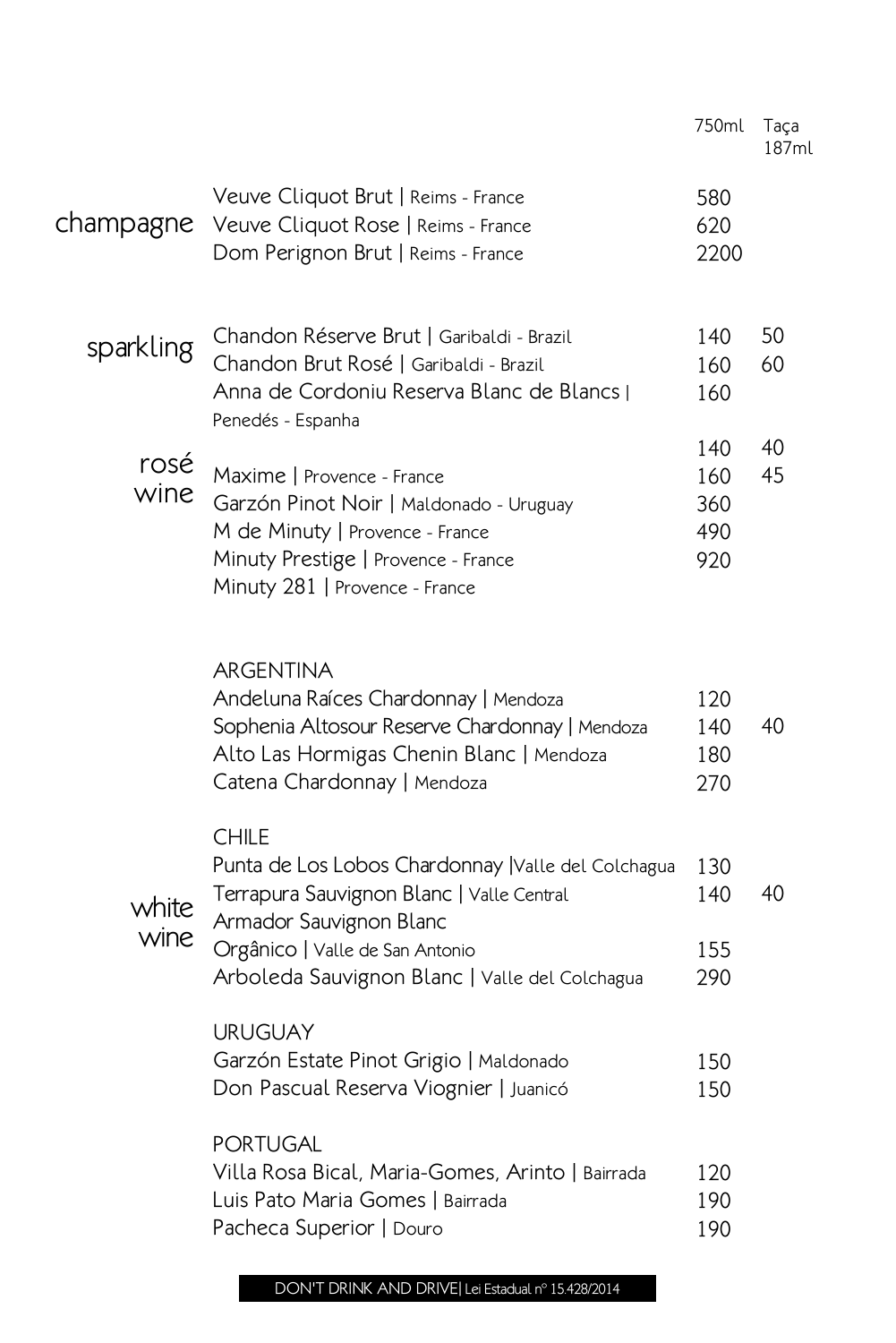|               |                                                                                                                                                                                                                                  | 750ml                           | Taça<br>187ml |
|---------------|----------------------------------------------------------------------------------------------------------------------------------------------------------------------------------------------------------------------------------|---------------------------------|---------------|
| champagne     | Veuve Cliquot Brut   Reims - France<br>Veuve Cliquot Rose   Reims - France<br>Dom Perignon Brut   Reims - France                                                                                                                 | 580<br>620<br>2200              |               |
| sparkling     | Chandon Réserve Brut   Garibaldi - Brazil<br>Chandon Brut Rosé   Garibaldi - Brazil<br>Anna de Cordoniu Reserva Blanc de Blancs  <br>Penedés - Espanha                                                                           | 140<br>160<br>160               | 50<br>60      |
| rosé<br>wine  | Maxime   Provence - France<br>Garzón Pinot Noir   Maldonado - Uruguay<br>M de Minuty   Provence - France<br>Minuty Prestige   Provence - France<br>Minuty 281   Provence - France                                                | 140<br>160<br>360<br>490<br>920 | 40<br>45      |
|               | <b>ARGENTINA</b><br>Andeluna Raíces Chardonnay   Mendoza<br>Sophenia Altosour Reserve Chardonnay   Mendoza<br>Alto Las Hormigas Chenin Blanc   Mendoza<br>Catena Chardonnay   Mendoza                                            | 120<br>140<br>180<br>270        | 40            |
| white<br>wine | <b>CHILE</b><br>Punta de Los Lobos Chardonnay   Valle del Colchagua<br>Terrapura Sauvignon Blanc   Valle Central<br>Armador Sauvignon Blanc<br>Orgânico   Valle de San Antonio<br>Arboleda Sauvignon Blanc   Valle del Colchagua | 130<br>140<br>155<br>290        | 40            |
|               | <b>URUGUAY</b><br>Garzón Estate Pinot Grigio   Maldonado<br>Don Pascual Reserva Viognier   Juanicó                                                                                                                               | 150<br>150                      |               |
|               | <b>PORTUGAL</b><br>Villa Rosa Bical, Maria-Gomes, Arinto   Bairrada<br>Luis Pato Maria Gomes   Bairrada<br>Pacheca Superior   Douro                                                                                              | 120<br>190<br>190               |               |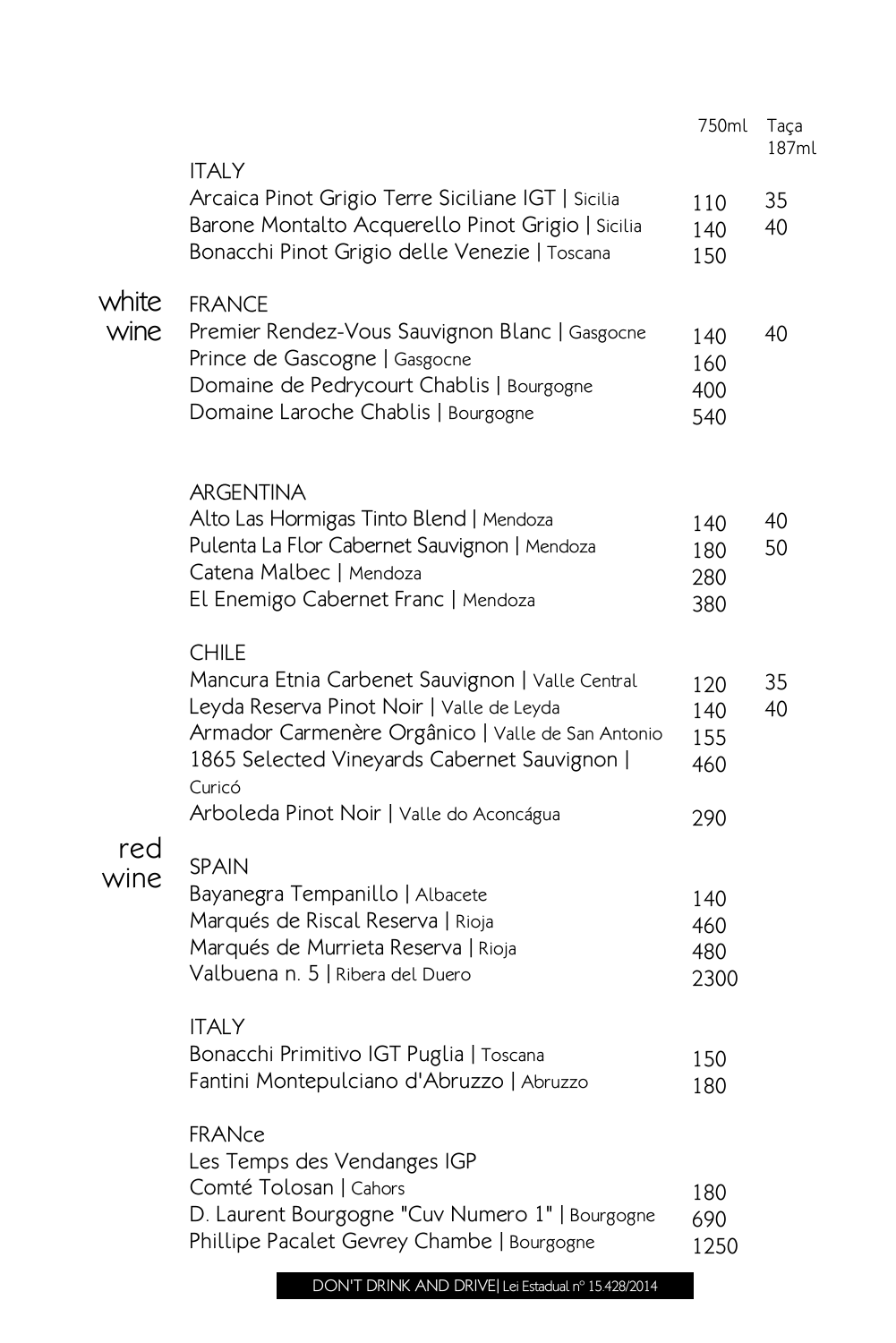|               |                                                                                                                                                                                                                                                                          | 750ml                           | Taça<br>187ml |
|---------------|--------------------------------------------------------------------------------------------------------------------------------------------------------------------------------------------------------------------------------------------------------------------------|---------------------------------|---------------|
|               | <b>ITALY</b><br>Arcaica Pinot Grigio Terre Siciliane IGT   Sicilia<br>Barone Montalto Acquerello Pinot Grigio   Sicilia<br>Bonacchi Pinot Grigio delle Venezie   Toscana                                                                                                 | 110<br>140<br>150               | 35<br>40      |
| white<br>wine | <b>FRANCE</b><br>Premier Rendez-Vous Sauvignon Blanc   Gasgocne<br>Prince de Gascogne   Gasgocne<br>Domaine de Pedrycourt Chablis   Bourgogne<br>Domaine Laroche Chablis   Bourgogne                                                                                     | 140<br>160<br>400<br>540        | 40            |
| red<br>wine   | <b>ARGENTINA</b><br>Alto Las Hormigas Tinto Blend   Mendoza<br>Pulenta La Flor Cabernet Sauvignon   Mendoza<br>Catena Malbec   Mendoza<br>El Enemigo Cabernet Franc   Mendoza                                                                                            | 140<br>180<br>280<br>380        | 40<br>50      |
|               | <b>CHILE</b><br>Mancura Etnia Carbenet Sauvignon   Valle Central<br>Leyda Reserva Pinot Noir   Valle de Leyda<br>Armador Carmenère Orgânico   Valle de San Antonio<br>1865 Selected Vineyards Cabernet Sauvignon  <br>Curicó<br>Arboleda Pinot Noir   Valle do Aconcágua | 120<br>140<br>155<br>460<br>290 | 35<br>40      |
|               | <b>SPAIN</b><br>Bayanegra Tempanillo   Albacete<br>Marqués de Riscal Reserva   Rioja<br>Marqués de Murrieta Reserva   Rioja<br>Valbuena n. 5   Ribera del Duero                                                                                                          | 140<br>460<br>480<br>2300       |               |
|               | <b>ITALY</b><br>Bonacchi Primitivo IGT Puglia   Toscana<br>Fantini Montepulciano d'Abruzzo   Abruzzo                                                                                                                                                                     | 150<br>180                      |               |
|               | <b>FRANce</b><br>Les Temps des Vendanges IGP<br>Comté Tolosan   Cahors<br>D. Laurent Bourgogne "Cuv Numero 1"   Bourgogne<br>Phillipe Pacalet Gevrey Chambe   Bourgogne                                                                                                  | 180<br>690<br>1250              |               |

DON'T DRINK AND DRIVE| Lei Estadual nº 15.428/2014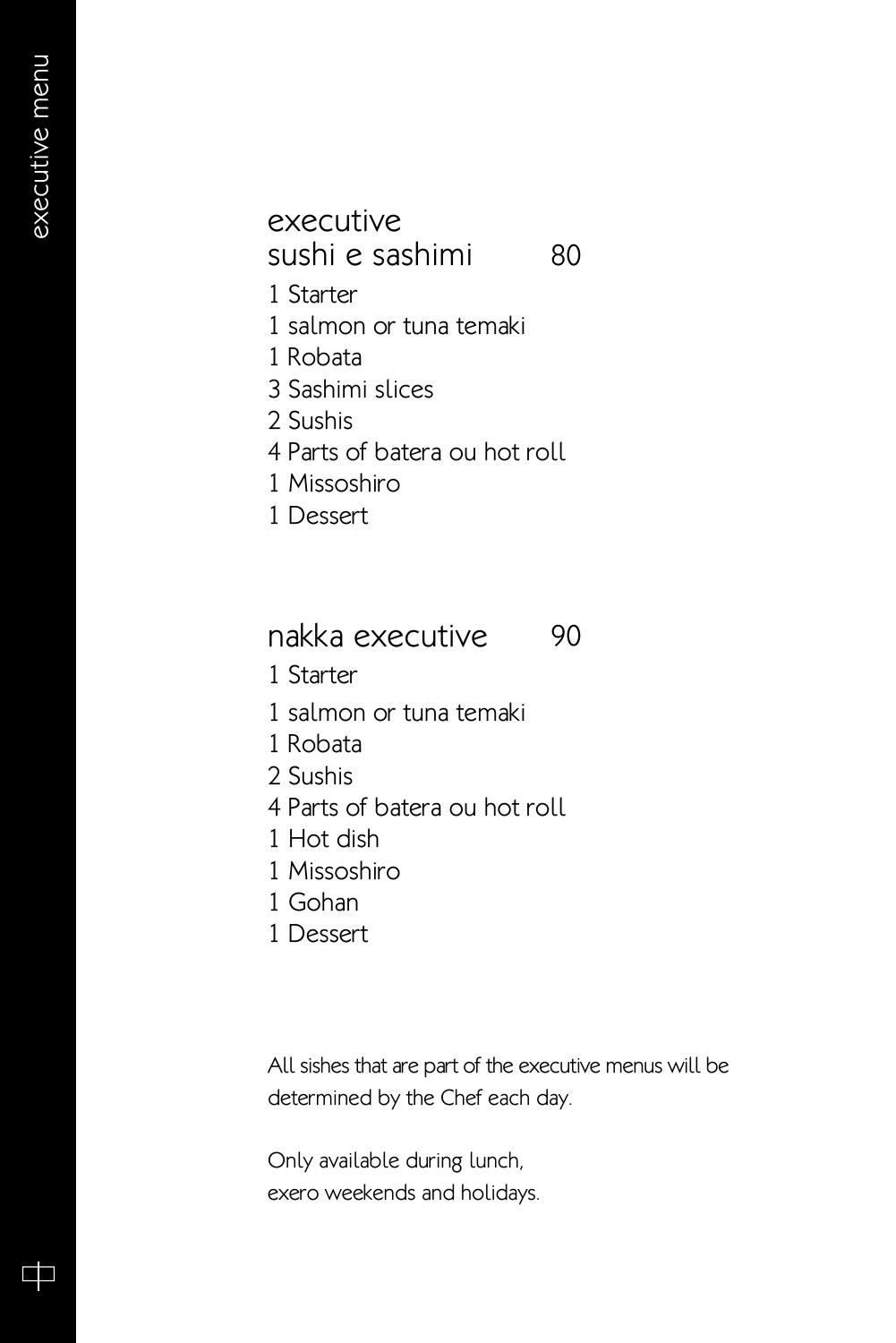ŌŌ

## executive sushi e sashimi

80

- 1 Starter
- 1 salmon or tuna temaki
- 1 Robata
- 3 Sashimi slices
- 2 Sushis
- 4 Parts of batera ou hot roll
- 1 Missoshiro
- 1 Dessert

nakka executive 90

- 1 Starter
- 1 salmon or tuna temaki
- 1 Robata
- 2 Sushis
- 4 Parts of batera ou hot roll
- 1 Hot dish
- 1 Missoshiro
- 1 Gohan
- 1 Dessert

All sishes that are part of the executive menus will be determined by the Chef each day.

Only available during lunch, exero weekends and holidays.